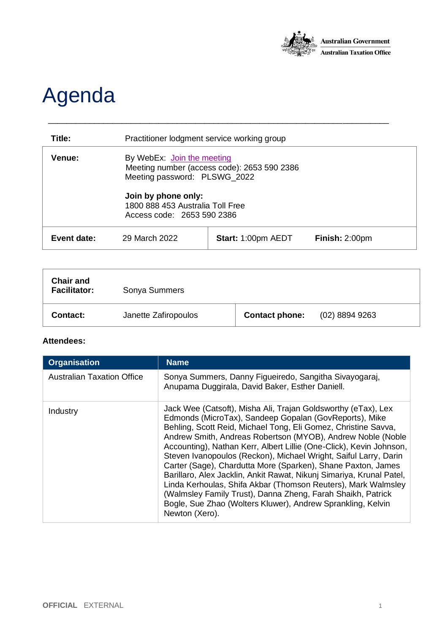

## Agenda

| Title:      | Practitioner lodgment service working group                                                               |                           |                |
|-------------|-----------------------------------------------------------------------------------------------------------|---------------------------|----------------|
| Venue:      | By WebEx: Join the meeting<br>Meeting number (access code): 2653 590 2386<br>Meeting password: PLSWG_2022 |                           |                |
|             | Join by phone only:<br>1800 888 453 Australia Toll Free<br>Access code: 2653 590 2386                     |                           |                |
| Event date: | 29 March 2022                                                                                             | <b>Start: 1:00pm AEDT</b> | Finish: 2:00pm |

\_\_\_\_\_\_\_\_\_\_\_\_\_\_\_\_\_\_\_\_\_\_\_\_\_\_\_\_\_\_\_\_\_\_\_\_\_\_\_\_\_\_\_\_\_\_\_\_\_\_\_\_\_\_\_\_\_\_\_\_\_\_\_\_\_\_\_\_\_\_\_\_\_\_

| <b>Chair and</b><br><b>Facilitator:</b> | Sonya Summers        |                       |                  |
|-----------------------------------------|----------------------|-----------------------|------------------|
| Contact:                                | Janette Zafiropoulos | <b>Contact phone:</b> | $(02)$ 8894 9263 |

## **Attendees:**

| <b>Organisation</b>               | <b>Name</b>                                                                                                                                                                                                                                                                                                                                                                                                                                                                                                                                                                                                                                                                                                                                                  |
|-----------------------------------|--------------------------------------------------------------------------------------------------------------------------------------------------------------------------------------------------------------------------------------------------------------------------------------------------------------------------------------------------------------------------------------------------------------------------------------------------------------------------------------------------------------------------------------------------------------------------------------------------------------------------------------------------------------------------------------------------------------------------------------------------------------|
| <b>Australian Taxation Office</b> | Sonya Summers, Danny Figueiredo, Sangitha Sivayogaraj,<br>Anupama Duggirala, David Baker, Esther Daniell.                                                                                                                                                                                                                                                                                                                                                                                                                                                                                                                                                                                                                                                    |
| Industry                          | Jack Wee (Catsoft), Misha Ali, Trajan Goldsworthy (eTax), Lex<br>Edmonds (MicroTax), Sandeep Gopalan (GovReports), Mike<br>Behling, Scott Reid, Michael Tong, Eli Gomez, Christine Savva,<br>Andrew Smith, Andreas Robertson (MYOB), Andrew Noble (Noble<br>Accounting), Nathan Kerr, Albert Lillie (One-Click), Kevin Johnson,<br>Steven Ivanopoulos (Reckon), Michael Wright, Saiful Larry, Darin<br>Carter (Sage), Chardutta More (Sparken), Shane Paxton, James<br>Barillaro, Alex Jacklin, Ankit Rawat, Nikunj Simariya, Krunal Patel,<br>Linda Kerhoulas, Shifa Akbar (Thomson Reuters), Mark Walmsley<br>(Walmsley Family Trust), Danna Zheng, Farah Shaikh, Patrick<br>Bogle, Sue Zhao (Wolters Kluwer), Andrew Sprankling, Kelvin<br>Newton (Xero). |